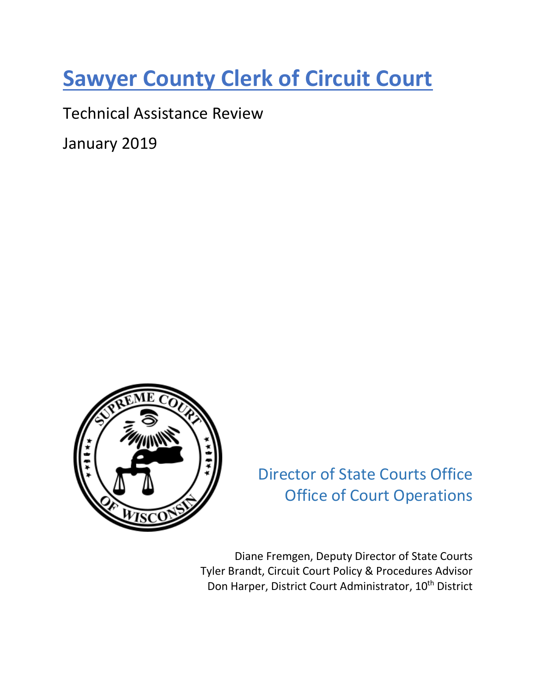# **Sawyer County Clerk of Circuit Court**

Technical Assistance Review

January 2019



Director of State Courts Office Office of Court Operations

Diane Fremgen, Deputy Director of State Courts Tyler Brandt, Circuit Court Policy & Procedures Advisor Don Harper, District Court Administrator, 10<sup>th</sup> District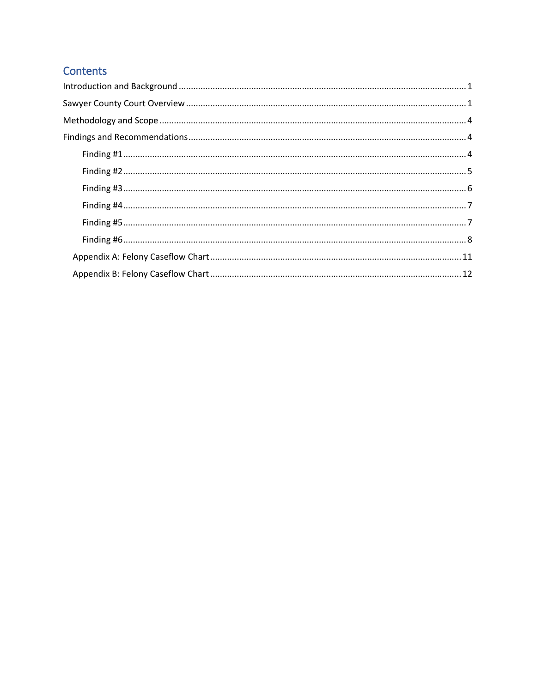# Contents

| $\textbf{Finding \#1}.\textcolor{red}{\textbf{m}1}.\textcolor{red}{\textbf{m}1}.\textcolor{red}{\textbf{m}2}.\textcolor{red}{\textbf{m}3}.\textcolor{red}{\textbf{m}4}.\textcolor{red}{\textbf{m}4}.\textcolor{red}{\textbf{m}5}.\textcolor{red}{\textbf{m}6}.\textcolor{red}{\textbf{m}6}.\textcolor{red}{\textbf{m}7}.\textcolor{red}{\textbf{m}8}.\textcolor{red}{\textbf{m}8}.\textcolor{red}{\textbf{m}9}.\textcolor{red}{\textbf{m}8}.\textcolor{red}{\textbf{m}9}.\$ |
|-----------------------------------------------------------------------------------------------------------------------------------------------------------------------------------------------------------------------------------------------------------------------------------------------------------------------------------------------------------------------------------------------------------------------------------------------------------------------------|
|                                                                                                                                                                                                                                                                                                                                                                                                                                                                             |
|                                                                                                                                                                                                                                                                                                                                                                                                                                                                             |
|                                                                                                                                                                                                                                                                                                                                                                                                                                                                             |
|                                                                                                                                                                                                                                                                                                                                                                                                                                                                             |
|                                                                                                                                                                                                                                                                                                                                                                                                                                                                             |
|                                                                                                                                                                                                                                                                                                                                                                                                                                                                             |
|                                                                                                                                                                                                                                                                                                                                                                                                                                                                             |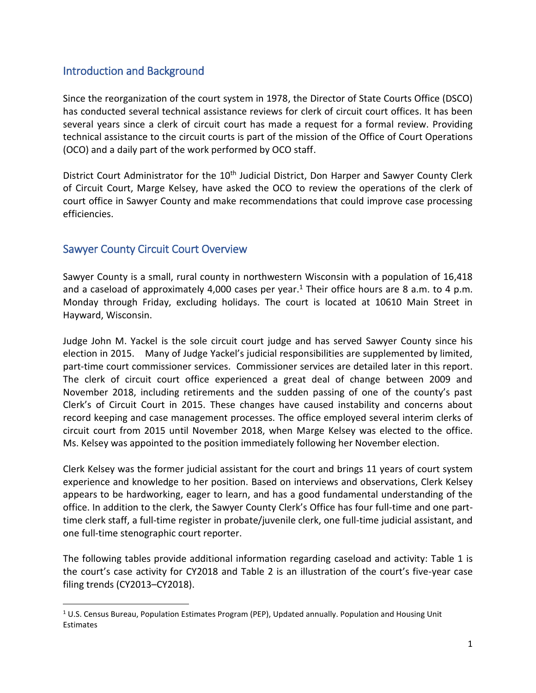## <span id="page-2-0"></span>Introduction and Background

Since the reorganization of the court system in 1978, the Director of State Courts Office (DSCO) has conducted several technical assistance reviews for clerk of circuit court offices. It has been several years since a clerk of circuit court has made a request for a formal review. Providing technical assistance to the circuit courts is part of the mission of the Office of Court Operations (OCO) and a daily part of the work performed by OCO staff.

District Court Administrator for the 10<sup>th</sup> Judicial District, Don Harper and Sawyer County Clerk of Circuit Court, Marge Kelsey, have asked the OCO to review the operations of the clerk of court office in Sawyer County and make recommendations that could improve case processing efficiencies.

## <span id="page-2-1"></span>Sawyer County Circuit Court Overview

l

Sawyer County is a small, rural county in northwestern Wisconsin with a population of 16,418 and a caseload of approximately 4,000 cases per year.<sup>1</sup> Their office hours are 8 a.m. to 4 p.m. Monday through Friday, excluding holidays. The court is located at 10610 Main Street in Hayward, Wisconsin.

Judge John M. Yackel is the sole circuit court judge and has served Sawyer County since his election in 2015. Many of Judge Yackel's judicial responsibilities are supplemented by limited, part-time court commissioner services. Commissioner services are detailed later in this report. The clerk of circuit court office experienced a great deal of change between 2009 and November 2018, including retirements and the sudden passing of one of the county's past Clerk's of Circuit Court in 2015. These changes have caused instability and concerns about record keeping and case management processes. The office employed several interim clerks of circuit court from 2015 until November 2018, when Marge Kelsey was elected to the office. Ms. Kelsey was appointed to the position immediately following her November election.

Clerk Kelsey was the former judicial assistant for the court and brings 11 years of court system experience and knowledge to her position. Based on interviews and observations, Clerk Kelsey appears to be hardworking, eager to learn, and has a good fundamental understanding of the office. In addition to the clerk, the Sawyer County Clerk's Office has four full-time and one parttime clerk staff, a full-time register in probate/juvenile clerk, one full-time judicial assistant, and one full-time stenographic court reporter.

The following tables provide additional information regarding caseload and activity: Table 1 is the court's case activity for CY2018 and Table 2 is an illustration of the court's five-year case filing trends (CY2013–CY2018).

 $1$  U.S. Census Bureau, Population Estimates Program (PEP), Updated annually. Population and Housing Unit Estimates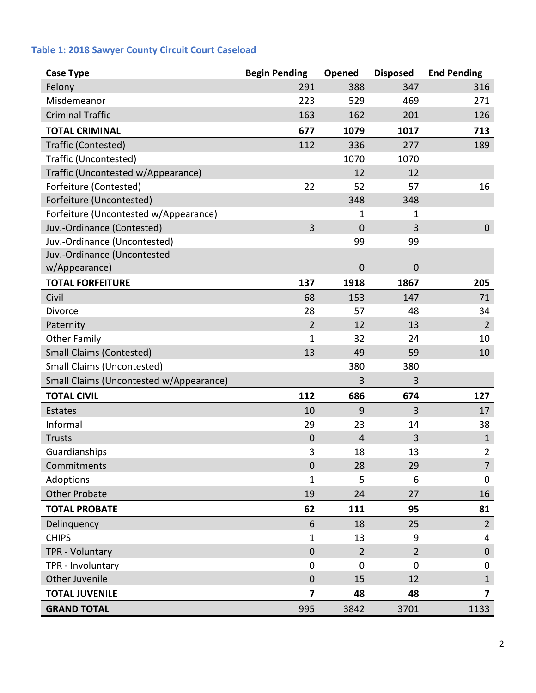## **Table 1: 2018 Sawyer County Circuit Court Caseload**

| <b>Case Type</b>                        | <b>Begin Pending</b>    | Opened         | <b>Disposed</b> | <b>End Pending</b> |
|-----------------------------------------|-------------------------|----------------|-----------------|--------------------|
| Felony                                  | 291                     | 388            | 347             | 316                |
| Misdemeanor                             | 223                     | 529            | 469             | 271                |
| <b>Criminal Traffic</b>                 | 163                     | 162            | 201             | 126                |
| <b>TOTAL CRIMINAL</b>                   | 677                     | 1079           | 1017            | 713                |
| Traffic (Contested)                     | 112                     | 336            | 277             | 189                |
| Traffic (Uncontested)                   |                         | 1070           | 1070            |                    |
| Traffic (Uncontested w/Appearance)      |                         | 12             | 12              |                    |
| Forfeiture (Contested)                  | 22                      | 52             | 57              | 16                 |
| Forfeiture (Uncontested)                |                         | 348            | 348             |                    |
| Forfeiture (Uncontested w/Appearance)   |                         | 1              | 1               |                    |
| Juv.-Ordinance (Contested)              | 3                       | $\overline{0}$ | 3               | $\mathbf 0$        |
| Juv.-Ordinance (Uncontested)            |                         | 99             | 99              |                    |
| Juv.-Ordinance (Uncontested             |                         |                |                 |                    |
| w/Appearance)                           |                         | $\mathbf 0$    | $\mathbf 0$     |                    |
| <b>TOTAL FORFEITURE</b>                 | 137                     | 1918           | 1867            | 205                |
| Civil                                   | 68                      | 153            | 147             | 71                 |
| Divorce                                 | 28                      | 57             | 48              | 34                 |
| Paternity                               | $\overline{2}$          | 12             | 13              | $\overline{2}$     |
| <b>Other Family</b>                     | $\mathbf{1}$            | 32             | 24              | 10                 |
| <b>Small Claims (Contested)</b>         | 13                      | 49             | 59              | 10                 |
| <b>Small Claims (Uncontested)</b>       |                         | 380            | 380             |                    |
| Small Claims (Uncontested w/Appearance) |                         | 3              | 3               |                    |
| <b>TOTAL CIVIL</b>                      | 112                     | 686            | 674             | 127                |
| Estates                                 | 10                      | 9              | 3               | 17                 |
| Informal                                | 29                      | 23             | 14              | 38                 |
| <b>Trusts</b>                           | $\mathbf 0$             | $\overline{4}$ | 3               | $\mathbf{1}$       |
| Guardianships                           | 3                       | 18             | 13              | $\overline{2}$     |
| Commitments                             | $\mathbf 0$             | 28             | 29              | $\overline{7}$     |
| Adoptions                               | $\mathbf{1}$            | 5              | 6               | 0                  |
| <b>Other Probate</b>                    | 19                      | 24             | 27              | 16                 |
| <b>TOTAL PROBATE</b>                    | 62                      | 111            | 95              | 81                 |
| Delinquency                             | 6                       | 18             | 25              | $\overline{2}$     |
| <b>CHIPS</b>                            | $\mathbf{1}$            | 13             | 9               | 4                  |
| TPR - Voluntary                         | $\boldsymbol{0}$        | $\overline{2}$ | $\overline{2}$  | $\mathbf 0$        |
| TPR - Involuntary                       | $\mathbf 0$             | 0              | $\mathbf 0$     | 0                  |
| Other Juvenile                          | $\mathbf 0$             | 15             | 12              | $\mathbf{1}$       |
| <b>TOTAL JUVENILE</b>                   | $\overline{\mathbf{z}}$ | 48             | 48              | 7                  |
| <b>GRAND TOTAL</b>                      | 995                     | 3842           | 3701            | 1133               |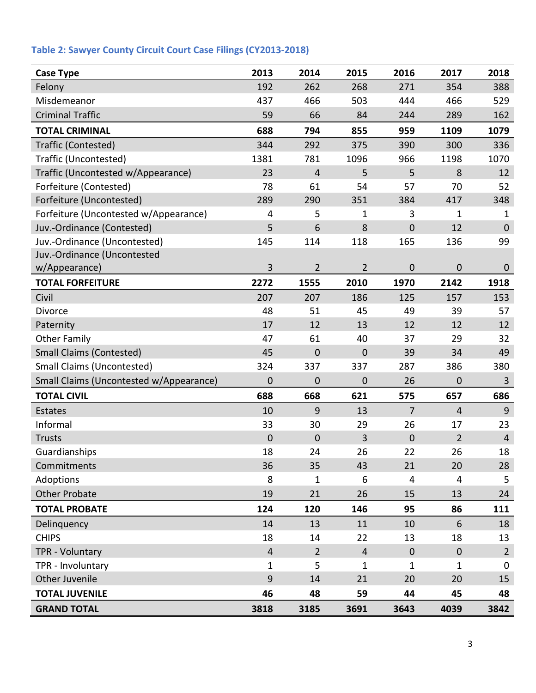| <b>Case Type</b>                        | 2013           | 2014                    | 2015           | 2016           | 2017                    | 2018           |
|-----------------------------------------|----------------|-------------------------|----------------|----------------|-------------------------|----------------|
| Felony                                  | 192            | 262                     | 268            | 271            | 354                     | 388            |
| Misdemeanor                             | 437            | 466                     | 503            | 444            | 466                     | 529            |
| <b>Criminal Traffic</b>                 | 59             | 66                      | 84             | 244            | 289                     | 162            |
| <b>TOTAL CRIMINAL</b>                   | 688            | 794                     | 855            | 959            | 1109                    | 1079           |
| <b>Traffic (Contested)</b>              | 344            | 292                     | 375            | 390            | 300                     | 336            |
| Traffic (Uncontested)                   | 1381           | 781                     | 1096           | 966            | 1198                    | 1070           |
| Traffic (Uncontested w/Appearance)      | 23             | $\overline{\mathbf{r}}$ | 5              | 5              | 8                       | 12             |
| Forfeiture (Contested)                  | 78             | 61                      | 54             | 57             | 70                      | 52             |
| Forfeiture (Uncontested)                | 289            | 290                     | 351            | 384            | 417                     | 348            |
| Forfeiture (Uncontested w/Appearance)   | 4              | 5                       | 1              | 3              | 1                       | 1              |
| Juv.-Ordinance (Contested)              | 5              | 6                       | 8              | $\mathbf 0$    | 12                      | $\mathbf 0$    |
| Juv.-Ordinance (Uncontested)            | 145            | 114                     | 118            | 165            | 136                     | 99             |
| Juv.-Ordinance (Uncontested             |                |                         |                |                |                         |                |
| w/Appearance)                           | 3              | $\overline{2}$          | $\overline{2}$ | $\mathbf 0$    | $\boldsymbol{0}$        | $\mathbf 0$    |
| <b>TOTAL FORFEITURE</b>                 | 2272           | 1555                    | 2010           | 1970           | 2142                    | 1918           |
| Civil                                   | 207            | 207                     | 186            | 125            | 157                     | 153            |
| Divorce                                 | 48             | 51                      | 45             | 49             | 39                      | 57             |
| Paternity                               | 17             | 12                      | 13             | 12             | 12                      | 12             |
| <b>Other Family</b>                     | 47             | 61                      | 40             | 37             | 29                      | 32             |
| <b>Small Claims (Contested)</b>         | 45             | 0                       | $\mathbf 0$    | 39             | 34                      | 49             |
| <b>Small Claims (Uncontested)</b>       | 324            | 337                     | 337            | 287            | 386                     | 380            |
| Small Claims (Uncontested w/Appearance) | $\mathbf 0$    | 0                       | $\mathbf 0$    | 26             | $\mathbf 0$             | 3              |
| <b>TOTAL CIVIL</b>                      | 688            | 668                     | 621            | 575            | 657                     | 686            |
| Estates                                 | 10             | 9                       | 13             | $\overline{7}$ | $\overline{4}$          | $9\,$          |
| Informal                                | 33             | 30                      | 29             | 26             | 17                      | 23             |
| <b>Trusts</b>                           | $\mathbf 0$    | 0                       | 3              | $\overline{0}$ | $\overline{2}$          | $\overline{4}$ |
| Guardianships                           | 18             | 24                      | 26             | 22             | 26                      | 18             |
| Commitments                             | 36             | 35                      | 43             | 21             | 20                      | 28             |
| Adoptions                               | 8              | $\mathbf{1}$            | 6              | $\overline{4}$ | $\overline{\mathbf{4}}$ | 5              |
| <b>Other Probate</b>                    | 19             | 21                      | 26             | 15             | 13                      | 24             |
| <b>TOTAL PROBATE</b>                    | 124            | 120                     | 146            | 95             | 86                      | 111            |
| Delinquency                             | 14             | 13                      | 11             | 10             | 6                       | 18             |
| <b>CHIPS</b>                            | 18             | 14                      | 22             | 13             | 18                      | 13             |
| TPR - Voluntary                         | $\overline{4}$ | $\overline{2}$          | $\overline{4}$ | $\mathbf{0}$   | $\pmb{0}$               | $\overline{2}$ |
| TPR - Involuntary                       | 1              | 5                       | 1              | 1              | $\mathbf 1$             | 0              |
| Other Juvenile                          | 9              | 14                      | 21             | 20             | 20                      | 15             |
| <b>TOTAL JUVENILE</b>                   | 46             | 48                      | 59             | 44             | 45                      | 48             |
| <b>GRAND TOTAL</b>                      | 3818           | 3185                    | 3691           | 3643           | 4039                    | 3842           |

# **Table 2: Sawyer County Circuit Court Case Filings (CY2013-2018)**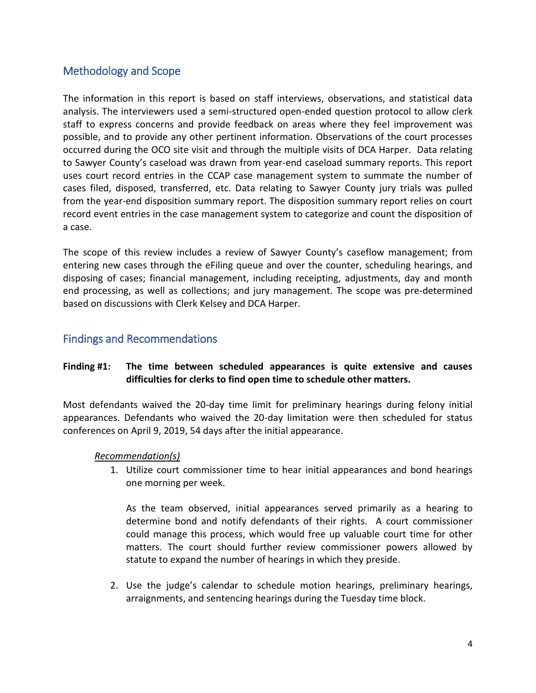## <span id="page-5-0"></span>Methodology and Scope

The information in this report is based on staff interviews, observations, and statistical data analysis. The interviewers used a semi-structured open-ended question protocol to allow clerk staff to express concerns and provide feedback on areas where they feel improvement was possible, and to provide any other pertinent information. Observations of the court processes occurred during the OCO site visit and through the multiple visits of DCA Harper. Data relating to Sawyer County's caseload was drawn from year-end caseload summary reports. This report uses court record entries in the CCAP case management system to summate the number of cases filed, disposed, transferred, etc. Data relating to Sawyer County jury trials was pulled from the year-end disposition summary report. The disposition summary report relies on court record event entries in the case management system to categorize and count the disposition of a case.

The scope of this review includes a review of Sawyer County's caseflow management; from entering new cases through the eFiling queue and over the counter, scheduling hearings, and disposing of cases; financial management, including receipting, adjustments, day and month end processing, as well as collections; and jury management. The scope was pre-determined based on discussions with Clerk Kelsey and DCA Harper.

## <span id="page-5-1"></span>Findings and Recommendations

#### <span id="page-5-2"></span>**Finding #1: The time between scheduled appearances is quite extensive and causes difficulties for clerks to find open time to schedule other matters.**

Most defendants waived the 20-day time limit for preliminary hearings during felony initial appearances. Defendants who waived the 20-day limitation were then scheduled for status conferences on April 9, 2019, 54 days after the initial appearance.

#### *Recommendation(s)*

1. Utilize court commissioner time to hear initial appearances and bond hearings one morning per week.

As the team observed, initial appearances served primarily as a hearing to determine bond and notify defendants of their rights. A court commissioner could manage this process, which would free up valuable court time for other matters. The court should further review commissioner powers allowed by statute to expand the number of hearings in which they preside.

2. Use the judge's calendar to schedule motion hearings, preliminary hearings, arraignments, and sentencing hearings during the Tuesday time block.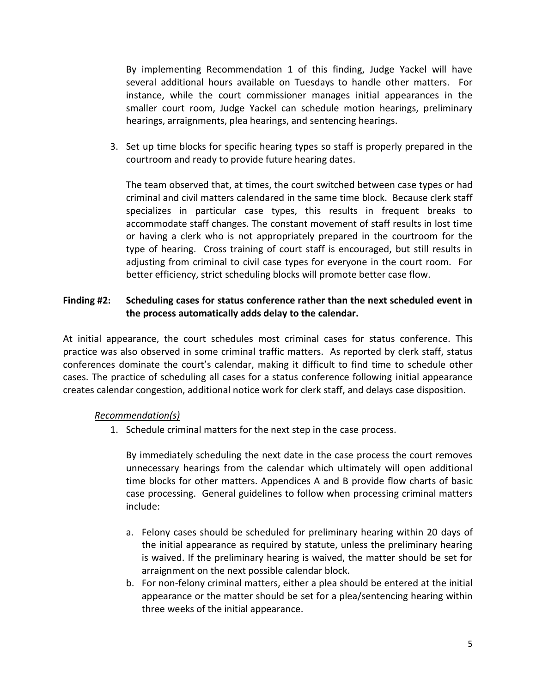By implementing Recommendation 1 of this finding, Judge Yackel will have several additional hours available on Tuesdays to handle other matters. For instance, while the court commissioner manages initial appearances in the smaller court room, Judge Yackel can schedule motion hearings, preliminary hearings, arraignments, plea hearings, and sentencing hearings.

3. Set up time blocks for specific hearing types so staff is properly prepared in the courtroom and ready to provide future hearing dates.

The team observed that, at times, the court switched between case types or had criminal and civil matters calendared in the same time block. Because clerk staff specializes in particular case types, this results in frequent breaks to accommodate staff changes. The constant movement of staff results in lost time or having a clerk who is not appropriately prepared in the courtroom for the type of hearing. Cross training of court staff is encouraged, but still results in adjusting from criminal to civil case types for everyone in the court room. For better efficiency, strict scheduling blocks will promote better case flow.

#### <span id="page-6-0"></span>**Finding #2: Scheduling cases for status conference rather than the next scheduled event in the process automatically adds delay to the calendar.**

At initial appearance, the court schedules most criminal cases for status conference. This practice was also observed in some criminal traffic matters. As reported by clerk staff, status conferences dominate the court's calendar, making it difficult to find time to schedule other cases. The practice of scheduling all cases for a status conference following initial appearance creates calendar congestion, additional notice work for clerk staff, and delays case disposition.

#### *Recommendation(s)*

1. Schedule criminal matters for the next step in the case process.

By immediately scheduling the next date in the case process the court removes unnecessary hearings from the calendar which ultimately will open additional time blocks for other matters. Appendices A and B provide flow charts of basic case processing. General guidelines to follow when processing criminal matters include:

- a. Felony cases should be scheduled for preliminary hearing within 20 days of the initial appearance as required by statute, unless the preliminary hearing is waived. If the preliminary hearing is waived, the matter should be set for arraignment on the next possible calendar block.
- b. For non-felony criminal matters, either a plea should be entered at the initial appearance or the matter should be set for a plea/sentencing hearing within three weeks of the initial appearance.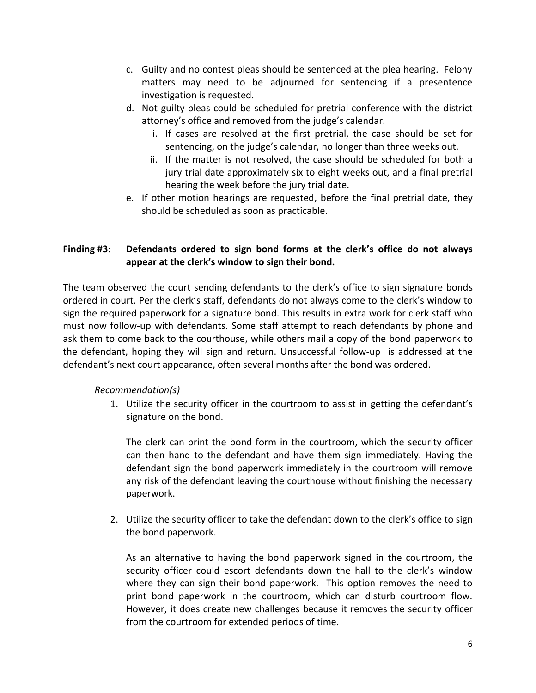- c. Guilty and no contest pleas should be sentenced at the plea hearing. Felony matters may need to be adjourned for sentencing if a presentence investigation is requested.
- d. Not guilty pleas could be scheduled for pretrial conference with the district attorney's office and removed from the judge's calendar.
	- i. If cases are resolved at the first pretrial, the case should be set for sentencing, on the judge's calendar, no longer than three weeks out.
	- ii. If the matter is not resolved, the case should be scheduled for both a jury trial date approximately six to eight weeks out, and a final pretrial hearing the week before the jury trial date.
- e. If other motion hearings are requested, before the final pretrial date, they should be scheduled as soon as practicable.

#### <span id="page-7-0"></span>**Finding #3: Defendants ordered to sign bond forms at the clerk's office do not always appear at the clerk's window to sign their bond.**

The team observed the court sending defendants to the clerk's office to sign signature bonds ordered in court. Per the clerk's staff, defendants do not always come to the clerk's window to sign the required paperwork for a signature bond. This results in extra work for clerk staff who must now follow-up with defendants. Some staff attempt to reach defendants by phone and ask them to come back to the courthouse, while others mail a copy of the bond paperwork to the defendant, hoping they will sign and return. Unsuccessful follow-up is addressed at the defendant's next court appearance, often several months after the bond was ordered.

#### *Recommendation(s)*

1. Utilize the security officer in the courtroom to assist in getting the defendant's signature on the bond.

The clerk can print the bond form in the courtroom, which the security officer can then hand to the defendant and have them sign immediately. Having the defendant sign the bond paperwork immediately in the courtroom will remove any risk of the defendant leaving the courthouse without finishing the necessary paperwork.

2. Utilize the security officer to take the defendant down to the clerk's office to sign the bond paperwork.

As an alternative to having the bond paperwork signed in the courtroom, the security officer could escort defendants down the hall to the clerk's window where they can sign their bond paperwork. This option removes the need to print bond paperwork in the courtroom, which can disturb courtroom flow. However, it does create new challenges because it removes the security officer from the courtroom for extended periods of time.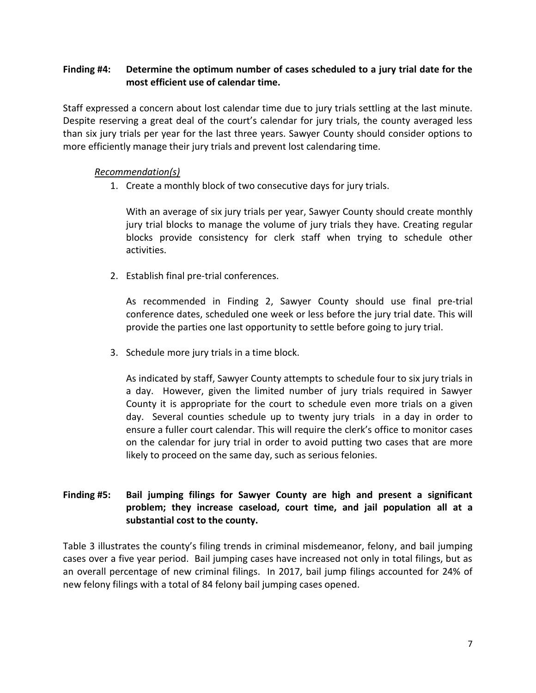#### <span id="page-8-0"></span>**Finding #4: Determine the optimum number of cases scheduled to a jury trial date for the most efficient use of calendar time.**

Staff expressed a concern about lost calendar time due to jury trials settling at the last minute. Despite reserving a great deal of the court's calendar for jury trials, the county averaged less than six jury trials per year for the last three years. Sawyer County should consider options to more efficiently manage their jury trials and prevent lost calendaring time.

#### *Recommendation(s)*

1. Create a monthly block of two consecutive days for jury trials.

With an average of six jury trials per year, Sawyer County should create monthly jury trial blocks to manage the volume of jury trials they have. Creating regular blocks provide consistency for clerk staff when trying to schedule other activities.

2. Establish final pre-trial conferences.

As recommended in Finding 2, Sawyer County should use final pre-trial conference dates, scheduled one week or less before the jury trial date. This will provide the parties one last opportunity to settle before going to jury trial.

3. Schedule more jury trials in a time block.

As indicated by staff, Sawyer County attempts to schedule four to six jury trials in a day. However, given the limited number of jury trials required in Sawyer County it is appropriate for the court to schedule even more trials on a given day. Several counties schedule up to twenty jury trials in a day in order to ensure a fuller court calendar. This will require the clerk's office to monitor cases on the calendar for jury trial in order to avoid putting two cases that are more likely to proceed on the same day, such as serious felonies.

#### <span id="page-8-1"></span>**Finding #5: Bail jumping filings for Sawyer County are high and present a significant problem; they increase caseload, court time, and jail population all at a substantial cost to the county.**

Table 3 illustrates the county's filing trends in criminal misdemeanor, felony, and bail jumping cases over a five year period. Bail jumping cases have increased not only in total filings, but as an overall percentage of new criminal filings. In 2017, bail jump filings accounted for 24% of new felony filings with a total of 84 felony bail jumping cases opened.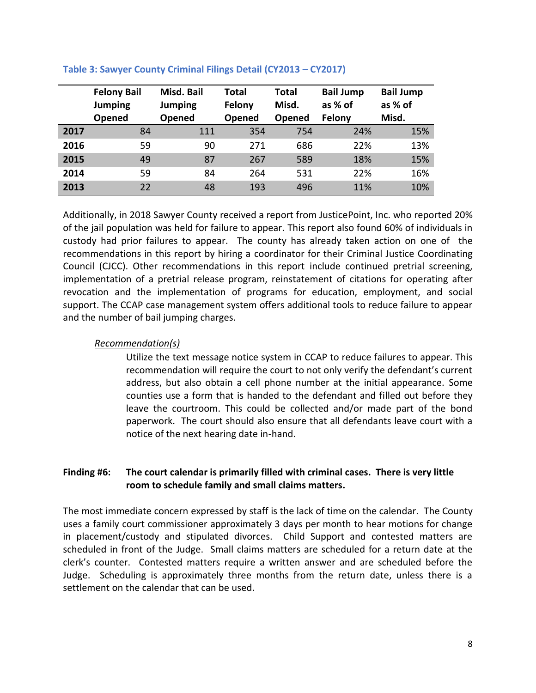|      | <b>Felony Bail</b><br>Jumping<br>Opened | Misd. Bail<br><b>Jumping</b><br><b>Opened</b> | Total<br>Felony<br>Opened | Total<br>Misd.<br>Opened | <b>Bail Jump</b><br>as % of<br>Felony | <b>Bail Jump</b><br>as % of<br>Misd. |
|------|-----------------------------------------|-----------------------------------------------|---------------------------|--------------------------|---------------------------------------|--------------------------------------|
| 2017 | 84                                      | 111                                           | 354                       | 754                      | 24%                                   | 15%                                  |
| 2016 | 59                                      | 90                                            | 271                       | 686                      | 22%                                   | 13%                                  |
| 2015 | 49                                      | 87                                            | 267                       | 589                      | 18%                                   | 15%                                  |
| 2014 | 59                                      | 84                                            | 264                       | 531                      | 22%                                   | 16%                                  |
| 2013 | 22                                      | 48                                            | 193                       | 496                      | 11%                                   | 10%                                  |

#### **Table 3: Sawyer County Criminal Filings Detail (CY2013 – CY2017)**

Additionally, in 2018 Sawyer County received a report from JusticePoint, Inc. who reported 20% of the jail population was held for failure to appear. This report also found 60% of individuals in custody had prior failures to appear. The county has already taken action on one of the recommendations in this report by hiring a coordinator for their Criminal Justice Coordinating Council (CJCC). Other recommendations in this report include continued pretrial screening, implementation of a pretrial release program, reinstatement of citations for operating after revocation and the implementation of programs for education, employment, and social support. The CCAP case management system offers additional tools to reduce failure to appear and the number of bail jumping charges.

#### *Recommendation(s)*

Utilize the text message notice system in CCAP to reduce failures to appear. This recommendation will require the court to not only verify the defendant's current address, but also obtain a cell phone number at the initial appearance. Some counties use a form that is handed to the defendant and filled out before they leave the courtroom. This could be collected and/or made part of the bond paperwork. The court should also ensure that all defendants leave court with a notice of the next hearing date in-hand.

#### <span id="page-9-0"></span>**Finding #6: The court calendar is primarily filled with criminal cases. There is very little room to schedule family and small claims matters.**

The most immediate concern expressed by staff is the lack of time on the calendar. The County uses a family court commissioner approximately 3 days per month to hear motions for change in placement/custody and stipulated divorces. Child Support and contested matters are scheduled in front of the Judge. Small claims matters are scheduled for a return date at the clerk's counter. Contested matters require a written answer and are scheduled before the Judge. Scheduling is approximately three months from the return date, unless there is a settlement on the calendar that can be used.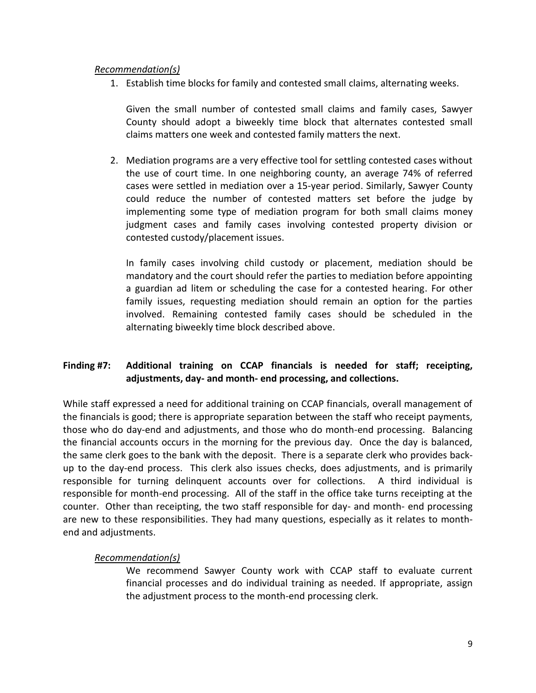#### *Recommendation(s)*

1. Establish time blocks for family and contested small claims, alternating weeks.

Given the small number of contested small claims and family cases, Sawyer County should adopt a biweekly time block that alternates contested small claims matters one week and contested family matters the next.

2. Mediation programs are a very effective tool for settling contested cases without the use of court time. In one neighboring county, an average 74% of referred cases were settled in mediation over a 15-year period. Similarly, Sawyer County could reduce the number of contested matters set before the judge by implementing some type of mediation program for both small claims money judgment cases and family cases involving contested property division or contested custody/placement issues.

In family cases involving child custody or placement, mediation should be mandatory and the court should refer the parties to mediation before appointing a guardian ad litem or scheduling the case for a contested hearing. For other family issues, requesting mediation should remain an option for the parties involved. Remaining contested family cases should be scheduled in the alternating biweekly time block described above.

#### **Finding #7: Additional training on CCAP financials is needed for staff; receipting, adjustments, day- and month- end processing, and collections.**

While staff expressed a need for additional training on CCAP financials, overall management of the financials is good; there is appropriate separation between the staff who receipt payments, those who do day-end and adjustments, and those who do month-end processing. Balancing the financial accounts occurs in the morning for the previous day. Once the day is balanced, the same clerk goes to the bank with the deposit. There is a separate clerk who provides backup to the day-end process. This clerk also issues checks, does adjustments, and is primarily responsible for turning delinquent accounts over for collections. A third individual is responsible for month-end processing. All of the staff in the office take turns receipting at the counter. Other than receipting, the two staff responsible for day- and month- end processing are new to these responsibilities. They had many questions, especially as it relates to monthend and adjustments.

#### *Recommendation(s)*

We recommend Sawyer County work with CCAP staff to evaluate current financial processes and do individual training as needed. If appropriate, assign the adjustment process to the month-end processing clerk.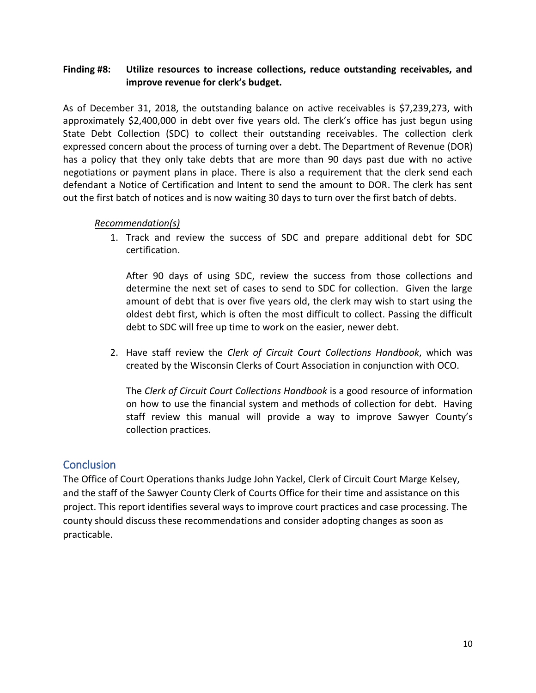#### **Finding #8: Utilize resources to increase collections, reduce outstanding receivables, and improve revenue for clerk's budget.**

As of December 31, 2018, the outstanding balance on active receivables is \$7,239,273, with approximately \$2,400,000 in debt over five years old. The clerk's office has just begun using State Debt Collection (SDC) to collect their outstanding receivables. The collection clerk expressed concern about the process of turning over a debt. The Department of Revenue (DOR) has a policy that they only take debts that are more than 90 days past due with no active negotiations or payment plans in place. There is also a requirement that the clerk send each defendant a Notice of Certification and Intent to send the amount to DOR. The clerk has sent out the first batch of notices and is now waiting 30 days to turn over the first batch of debts.

#### *Recommendation(s)*

1. Track and review the success of SDC and prepare additional debt for SDC certification.

After 90 days of using SDC, review the success from those collections and determine the next set of cases to send to SDC for collection. Given the large amount of debt that is over five years old, the clerk may wish to start using the oldest debt first, which is often the most difficult to collect. Passing the difficult debt to SDC will free up time to work on the easier, newer debt.

2. Have staff review the *Clerk of Circuit Court Collections Handbook*, which was created by the Wisconsin Clerks of Court Association in conjunction with OCO.

The *Clerk of Circuit Court Collections Handbook* is a good resource of information on how to use the financial system and methods of collection for debt. Having staff review this manual will provide a way to improve Sawyer County's collection practices.

### **Conclusion**

<span id="page-11-0"></span>The Office of Court Operations thanks Judge John Yackel, Clerk of Circuit Court Marge Kelsey, and the staff of the Sawyer County Clerk of Courts Office for their time and assistance on this project. This report identifies several ways to improve court practices and case processing. The county should discuss these recommendations and consider adopting changes as soon as practicable.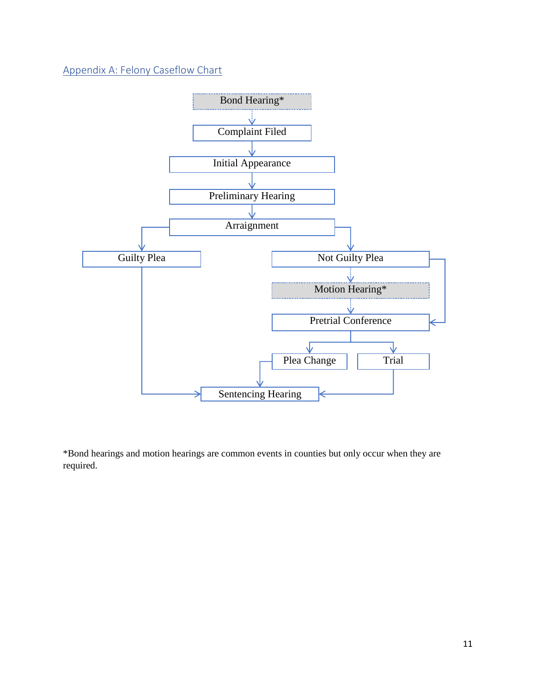Appendix A: Felony Caseflow Chart



<span id="page-12-0"></span>\*Bond hearings and motion hearings are common events in counties but only occur when they are required.